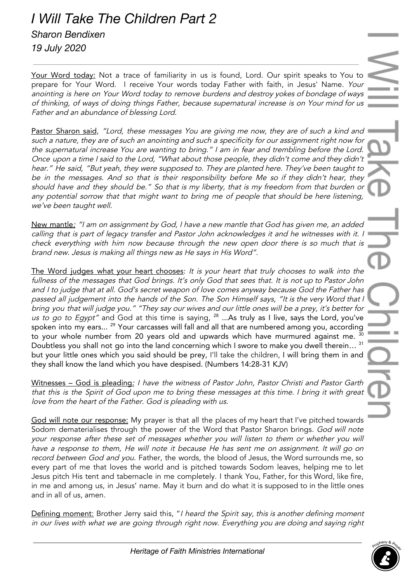## *I Will Take The Children Part 2 Sharon Bendixen 19 July 2020*

Your Word today: Not a trace of familiarity in us is found, Lord. Our spirit speaks to You to prepare for Your Word. I receive Your words today Father with faith, in Jesus' Name. Your anointing is here on Your Word today to remove burdens and destroy yokes of bondage of ways of thinking, of ways of doing things Father, because supernatural increase is on Your mind for us Father and an abundance of blessing Lord.

Pastor Sharon said, "Lord, these messages You are giving me now, they are of such a kind and such <sup>a</sup> nature, they are of such an anointing and such <sup>a</sup> specificity for our assignment right now for the supernatural increase You are wanting to bring." <sup>I</sup> am in fear and trembling before the Lord. Once upon <sup>a</sup> time <sup>I</sup> said to the Lord, "What about those people, they didn't come and they didn't hear." He said, "But yeah, they were supposed to. They are planted here. They've been taught to be in the messages. And so that is their responsibility before Me so if they didn't hear, they should have and they should be." So that is my liberty, that is my freedom from that burden or any potential sorrow that that might want to bring me of people that should be here listening, we've been taught well.

New mantle: "I am on assignment by God, I have a new mantle that God has given me, an added calling that is part of legacy transfer and Pastor John acknowledges it and he witnesses with it. <sup>I</sup> check everything with him now because through the new open door there is so much that is brand new. Jesus is making all things new as He says in His Word".

The Word judges what your heart chooses: It is your heart that truly chooses to walk into the fullness of the messages that God brings. It's only God that sees that. It is not up to Pastor John and <sup>I</sup> to judge that at all. God's secret weapon of love comes anyway because God the Father has passed all judgement into the hands of the Son. The Son Himself says, "It is the very Word that i bring you that will judge you." "They say our wives and our little ones will be <sup>a</sup> prey, it's better for *us to go to Egypt"* and God at this time is saying,  $^{28}$  …As truly as I live, says the Lord, you've spoken into my ears...  $^{29}$  Your carcasses will fall and all that are numbered among you, according to your whole number from 20 years old and upwards which have murmured against me.  $^{\rm 30}$ Doubtless you shall not go into the land concerning which I swore to make you dwell therein...<sup>31</sup> but your little ones which you said should be prey, I'll take the children, I will bring them in and they shall know the land which you have despised. (Numbers 14:28-31 KJV)

Witnesses - God is pleading: I have the witness of Pastor John, Pastor Christi and Pastor Garth that this is the Spirit of God upon me to bring these messages at this time. <sup>I</sup> bring it with great love from the heart of the Father. God is pleading with us.

God will note our response: My prayer is that all the places of my heart that I've pitched towards Sodom dematerialises through the power of the Word that Pastor Sharon brings. God will note your response after these set of messages whether you will listen to them or whether you will have <sup>a</sup> response to them, He will note it because He has sent me on assignment. It will go on record between God and you. Father, the words, the blood of Jesus, the Word surrounds me, so every part of me that loves the world and is pitched towards Sodom leaves, helping me to let Jesus pitch His tent and tabernacle in me completely. I thank You, Father, for this Word, like fire, in me and among us, in Jesus' name. May it burn and do what it is supposed to in the little ones and in all of us, amen.

Defining moment: Brother Jerry said this, "I heard the Spirit say, this is another defining moment in our lives with what we are going through right now. Everything you are doing and saying right

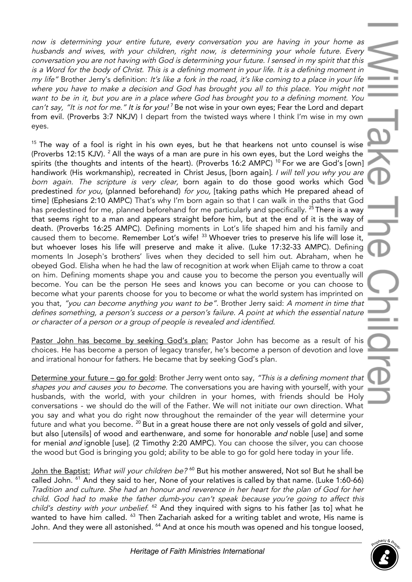now is determining your entire future, every conversation you are having in your home as husbands and wives, with your children, right now, is determining your whole future. Every conversation you are not having with God is determining your future. <sup>I</sup> sensed in my spirit that this is <sup>a</sup> Word for the body of Christ. This is <sup>a</sup> defining moment in your life. It is <sup>a</sup> defining moment in my life" Brother Jerry's definition: It's like <sup>a</sup> fork in the road, it's like coming to <sup>a</sup> place in your life where you have to make <sup>a</sup> decision and God has brought you all to this place. You might not want to be in it, but you are in <sup>a</sup> place where God has brought you to <sup>a</sup> defining moment. You can't say, "It is not for me." It is for you!<sup>7</sup> Be not wise in your own eyes; Fear the Lord and depart from evil. (Proverbs 3:7 NKJV) I depart from the twisted ways where I think I'm wise in my own eyes.

 $15$  The way of a fool is right in his own eyes, but he that hearkens not unto counsel is wise (Proverbs 12:15 KJV).  $^{2}$  All the ways of a man are pure in his own eyes, but the Lord weighs the spirits (the thoughts and intents of the heart). (Proverbs 16:2 AMPC) <sup>10</sup> For we are God's [own] handiwork (His workmanship), recreated in Christ Jesus, [born aqain]. I will tell you why you are born again. The scripture is very clear, born again to do those good works which God predestined for you, (planned beforehand) for you, [taking paths which He prepared ahead of time] (Ephesians 2:10 AMPC) That's why I'm born again so that I can walk in the paths that God has predestined for me, planned beforehand for me particularly and specifically. <sup>25</sup> There is a way that seems right to a man and appears straight before him, but at the end of it is the way of death. (Proverbs 16:25 AMPC). Defining moments in Lot's life shaped him and his family and caused them to become. Remember Lot's wife! 33 Whoever tries to preserve his life will lose it, but whoever loses his life will preserve and make it alive. (Luke 17:32-33 AMPC). Defining moments In Joseph's brothers' lives when they decided to sell him out. Abraham, when he obeyed God. Elisha when he had the law of recognition at work when Elijah came to throw a coat on him. Defining moments shape you and cause you to become the person you eventually will become. You can be the person He sees and knows you can become or you can choose to become what your parents choose for you to become or what the world system has imprinted on you that, "you can become anything you want to be". Brother Jerry said: A moment in time that defines something, <sup>a</sup> person's success or <sup>a</sup> person's failure. <sup>A</sup> point at which the essential nature or character of <sup>a</sup> person or <sup>a</sup> group of people is revealed and identified.

Pastor John has become by seeking God's plan: Pastor John has become as a result of his choices. He has become a person of legacy transfer, he's become a person of devotion and love and irrational honour for fathers. He became that by seeking God's plan.

Determine your future - go for gold: Brother Jerry went onto say, "This is a defining moment that shapes you and causes you to become. The conversations you are having with yourself, with your husbands, with the world, with your children in your homes, with friends should be Holy conversations - we should do the will of the Father. We will not initiate our own direction. What you say and what you do right now throughout the remainder of the year will determine your future and what you become.  $^{\mathit{20}}$  But in a great house there are not only vessels of gold and silver, but also [utensils] of wood and earthenware, and some for honorable *and* noble [use] and some for menial *and* ignoble [use]. (2 Timothy 2:20 AMPC). You can choose the silver, you can choose the wood but God is bringing you gold; ability to be able to go for gold here today in your life.

John the Baptist: *What will your children be?* <sup>60</sup> But his mother answered, Not so! But he shall be called John. <sup>61</sup> And they said to her, None of your relatives is called by that name. (Luke 1:60-66) Tradition and culture. She had an honour and reverence in her heart for the plan of God for her child. God had to make the father dumb-you can't speak because you're going to affect this child's destiny with your unbelief. <sup>62</sup> And they inquired with signs to his father [as to] what he wanted to have him called.  $^{63}$  Then Zachariah asked for a writing tablet and wrote, His name is John. And they were all astonished. <sup>64</sup> And at once his mouth was opened and his tongue loosed,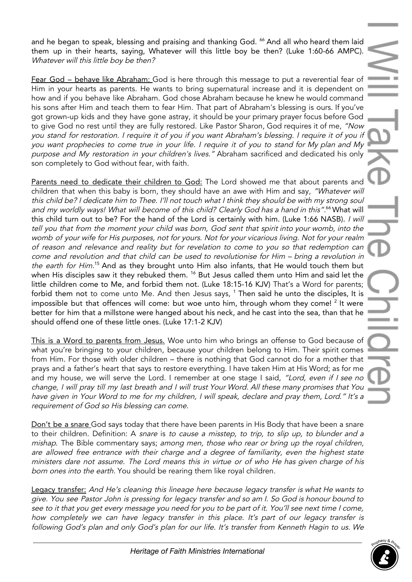and he began to speak, blessing and praising and thanking God. <sup>66</sup> And all who heard them laid them up in their hearts, saying, Whatever will this little boy be then? (Luke 1:60-66 AMPC). Whatever will this little boy be then?

Fear God – behave like Abraham: God is here through this message to put a reverential fear of Him in your hearts as parents. He wants to bring supernatural increase and it is dependent on how and if you behave like Abraham. God chose Abraham because he knew he would command his sons after Him and teach them to fear Him. That part of Abraham's blessing is ours. If you've got grown-up kids and they have gone astray, it should be your primary prayer focus before God to give God no rest until they are fully restored. Like Pastor Sharon, God requires it of me, "Now you stand for restoration. <sup>I</sup> require it of you if you want Abraham's blessing. <sup>I</sup> require it of you if you want prophecies to come true in your life. <sup>I</sup> require it of you to stand for My plan and My purpose and My restoration in your children's lives." Abraham sacrificed and dedicated his only son completely to God without fear, with faith.

Parents need to dedicate their children to God: The Lord showed me that about parents and children that when this baby is born, they should have an awe with Him and say, "Whatever will this child be? I dedicate him to Thee. I'll not touch what I think they should be with my strong soul and my worldly ways! What will become of this child? Clearly God has a hand in this".<sup>66</sup> What will this child turn out to be? For the hand of the Lord is certainly with him. (Luke 1:66 NASB). I will tell you that from the moment your child was born, God sent that spirit into your womb, into the womb of your wife for His purposes, not for yours. Not for your vicarious living. Not for your realm of reason and relevance and reality but for revelation to come to you so that redemption can come and revolution and that child can be used to revolutionise for Him – bring <sup>a</sup> revolution in the earth for Him.<sup>15</sup> And as they brought unto Him also infants, that He would touch them but when His disciples saw it they rebuked them. <sup>16</sup> But Jesus called them unto Him and said let the little children come to Me, and forbid them not. (Luke 18:15-16 KJV) That's a Word for parents; forbid them not to come unto Me. And then Jesus says, <sup>1</sup> Then said he unto the disciples, It is impossible but that offences will come: but woe unto him, through whom they come! <sup>2</sup> It were better for him that a millstone were hanged about his neck, and he cast into the sea, than that he should offend one of these little ones. (Luke 17:1-2 KJV)

This is a Word to parents from Jesus. Woe unto him who brings an offense to God because of what you're bringing to your children, because your children belong to Him. Their spirit comes from Him. For those with older children – there is nothing that God cannot do for a mother that prays and a father's heart that says to restore everything. I have taken Him at His Word; as for me and my house, we will serve the Lord. I remember at one stage I said, "Lord, even if I see no change, <sup>I</sup> will pray till my last breath and <sup>I</sup> will trust Your Word. All these many promises that You have <sup>g</sup>iven in Your Word to me for my children, <sup>I</sup> will speak, declare and pray them, Lord." It's <sup>a</sup> requirement of God so His blessing can come.

Don't be a snare God says today that there have been parents in His Body that have been a snare to their children. Definition: A snare is to cause a misstep, to trip, to slip up, to blunder and a mishap. The Bible commentary says; among men, those who rear or bring up the royal children, are allowed free entrance with their charge and <sup>a</sup> degree of familiarity, even the highest state ministers dare not assume. The Lord means this in virtue or of who He has given charge of his born ones into the earth. You should be rearing them like royal children.

Legacy transfer: And He's cleaning this lineage here because legacy transfer is what He wants to <sup>g</sup>ive. You see Pastor John is pressing for legacy transfer and so am I. So God is honour bound to see to it that you get every message you need for you to be part of it. You'll see next time I come, how completely we can have legacy transfer in this place. It's part of our legacy transfer is following God's plan and only God's plan for our life. It's transfer from Kenneth Hagin to us. We

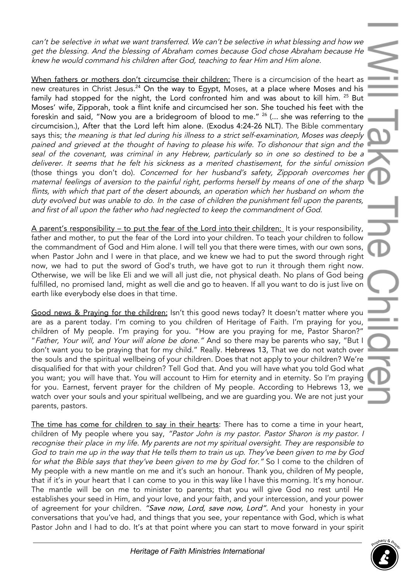can't be selective in what we want transferred. We can't be selective in what blessing and how we get the blessing. And the blessing of Abraham comes because God chose Abraham because He knew he would command his children after God, teaching to fear Him and Him alone.

When fathers or mothers don't circumcise their children: There is a circumcision of the heart as new creatures in Christ Jesus.<sup>24</sup> On the way to Egypt, Moses, at a place where Moses and his family had stopped for the night, the Lord confronted him and was about to kill him. <sup>25</sup> But Moses' wife, Zipporah, took a flint knife and circumcised her son. She touched his feet with the foreskin and said, "Now you are a bridegroom of blood to me." 26 (... she was referring to the circumcision.), After that the Lord left him alone. (Exodus 4:24-26 NLT). The Bible commentary says this; the meaning is that led during his illness to <sup>a</sup> strict self-examination, Moses was deeply pained and grieved at the thought of having to please his wife. To dishonour that sign and the seal of the covenant, was criminal in any Hebrew, particularly so in one so destined to be a deliverer. It seems that he felt his sickness as <sup>a</sup> merited chastisement, for the sinful omission (those things you don't do). Concerned for her husband's safety, Zipporah overcomes her maternal feelings of aversion to the painful right, performs herself by means of one of the sharp flints, with which that part of the desert abounds, an operation which her husband on whom the duty evolved but was unable to do. In the case of children the punishment fell upon the parents, and first of all upon the father who had neglected to keep the commandment of God.

A parent's responsibility – to put the fear of the Lord into their children: It is your responsibility, father and mother, to put the fear of the Lord into your children. To teach your children to follow the commandment of God and Him alone. I will tell you that there were times, with our own sons, when Pastor John and I were in that place, and we knew we had to put the sword through right now, we had to put the sword of God's truth, we have got to run it through them right now. Otherwise, we will be like Eli and we will all just die, not physical death. No plans of God being fulfilled, no promised land, might as well die and go to heaven. If all you want to do is just live on earth like everybody else does in that time.

Good news & Praying for the children: Isn't this good news today? It doesn't matter where you are as a parent today. I'm coming to you children of Heritage of Faith. I'm praying for you, children of My people. I'm praying for you. "How are you praying for me, Pastor Sharon?" "Father, Your will, and Your will alone be done." And so there may be parents who say, "But I don't want you to be praying that for my child." Really. Hebrews 13, That we do not watch over the souls and the spiritual wellbeing of your children. Does that not apply to your children? We're disqualified for that with your children? Tell God that. And you will have what you told God what you want; you will have that. You will account to Him for eternity and in eternity. So I'm praying for you. Earnest, fervent prayer for the children of My people. According to Hebrews 13, we watch over your souls and your spiritual wellbeing, and we are guarding you. We are not just your parents, pastors.

The time has come for children to say in their hearts: There has to come a time in your heart, children of My people where you say, "Pastor John is my pastor. Pastor Sharon is my pastor. I recognise their place in my life. My parents are not my spiritual oversight. They are responsible to God to train me up in the way that He tells them to train us up. They've been <sup>g</sup>iven to me by God for what the Bible says that they've been given to me by God for." So I come to the children of My people with a new mantle on me and it's such an honour. Thank you, children of My people, that if it's in your heart that I can come to you in this way like I have this morning. It's my honour. The mantle will be on me to minister to parents; that you will give God no rest until He establishes your seed in Him, and your love, and your faith, and your intercession, and your power of agreement for your children. "Save now, Lord, save now, Lord". And your honesty in your conversations that you've had, and things that you see, your repentance with God, which is what Pastor John and I had to do. It's at that point where you can start to move forward in your spirit